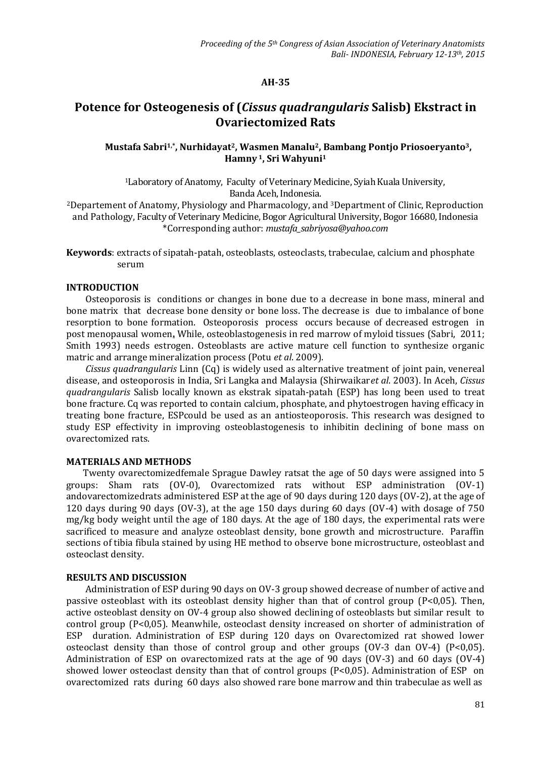# **AH-35**

# **Potence for Osteogenesis of (***Cissus quadrangularis* **Salisb) Ekstract in Ovariectomized Rats**

# **Mustafa Sabri1,\* , Nurhidayat2, Wasmen Manalu2, Bambang Pontjo Priosoeryanto3, Hamny <sup>1</sup>, Sri Wahyuni<sup>1</sup>**

<sup>1</sup>Laboratory of Anatomy, Faculty of Veterinary Medicine, Syiah Kuala University, Banda Aceh, Indonesia.

<sup>2</sup>Departement of Anatomy, Physiology and Pharmacology, and 3Department of Clinic, Reproduction and Pathology, Faculty of Veterinary Medicine, Bogor Agricultural University, Bogor 16680, Indonesia \*Corresponding author: *[mustafa\\_sabriyosa@yahoo.com](mailto:mustafa_sabriyosa@yahoo.com)*

**Keywords**: extracts of sipatah-patah, osteoblasts, osteoclasts, trabeculae, calcium and phosphate serum

#### **INTRODUCTION**

Osteoporosis is conditions or changes in bone due to a decrease in bone mass, mineral and bone matrix that decrease bone density or bone loss. The decrease is due to imbalance of bone resorption to bone formation. Osteoporosis process occurs because of decreased estrogen in post menopausal women**.** While, osteoblastogenesis in red marrow of myloid tissues (Sabri, 2011; Smith 1993) needs estrogen. Osteoblasts are active mature cell function to synthesize organic matric and arrange mineralization process (Potu *et al*. 2009).

*Cissus quadrangularis* Linn (Cq) is widely used as alternative treatment of joint pain, venereal disease, and osteoporosis in India, Sri Langka and Malaysia (Shirwaikar*et al*. 2003). In Aceh, *Cissus quadrangularis* Salisb locally known as ekstrak sipatah-patah (ESP) has long been used to treat bone fracture. Cq was reported to contain calcium, phosphate, and phytoestrogen having efficacy in treating bone fracture, ESPcould be used as an antiosteoporosis. This research was designed to study ESP effectivity in improving osteoblastogenesis to inhibitin declining of bone mass on ovarectomized rats.

#### **MATERIALS AND METHODS**

Twenty ovarectomizedfemale Sprague Dawley ratsat the age of 50 days were assigned into 5 groups: Sham rats (OV-0), Ovarectomized rats without ESP administration (OV-1) andovarectomizedrats administered ESP at the age of 90 days during 120 days (OV-2), at the age of 120 days during 90 days (OV-3), at the age 150 days during 60 days (OV-4) with dosage of 750 mg/kg body weight until the age of 180 days. At the age of 180 days, the experimental rats were sacrificed to measure and analyze osteoblast density, bone growth and microstructure. Paraffin sections of tibia fibula stained by using HE method to observe bone microstructure, osteoblast and osteoclast density.

### **RESULTS AND DISCUSSION**

Administration of ESP during 90 days on OV-3 group showed decrease of number of active and passive osteoblast with its osteoblast density higher than that of control group (P<0,05). Then, active osteoblast density on OV-4 group also showed declining of osteoblasts but similar result to control group (P<0,05). Meanwhile, osteoclast density increased on shorter of administration of ESP duration. Administration of ESP during 120 days on Ovarectomized rat showed lower osteoclast density than those of control group and other groups (OV-3 dan OV-4) (P<0,05). Administration of ESP on ovarectomized rats at the age of 90 days (OV-3) and 60 days (OV-4) showed lower osteoclast density than that of control groups (P<0,05). Administration of ESP on ovarectomized rats during 60 days also showed rare bone marrow and thin trabeculae as well as